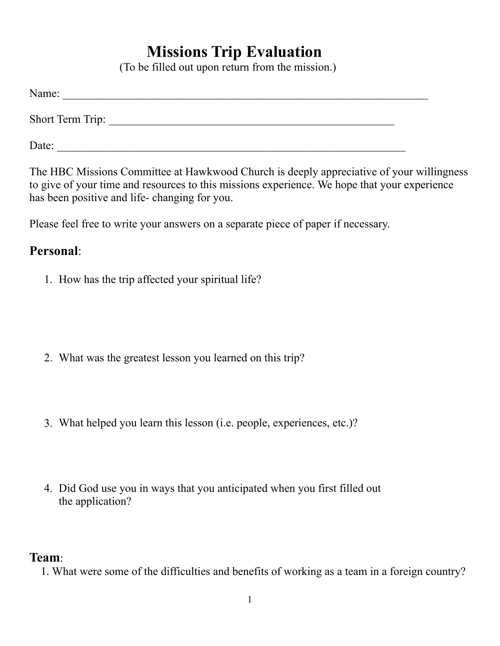# **Missions Trip Evaluation**

(To be filled out upon return from the mission.)

| Name:            |  |  |  |
|------------------|--|--|--|
| Short Term Trip: |  |  |  |
| Date:            |  |  |  |

The HBC Missions Committee at Hawkwood Church is deeply appreciative of your willingness to give of your time and resources to this missions experience. We hope that your experience has been positive and life- changing for you.

Please feel free to write your answers on a separate piece of paper if necessary.

## **Personal**:

1. How has the trip affected your spiritual life?

- 2. What was the greatest lesson you learned on this trip?
- 3. What helped you learn this lesson (i.e. people, experiences, etc.)?
- 4. Did God use you in ways that you anticipated when you first filled out the application?

#### **Team**:

1. What were some of the difficulties and benefits of working as a team in a foreign country?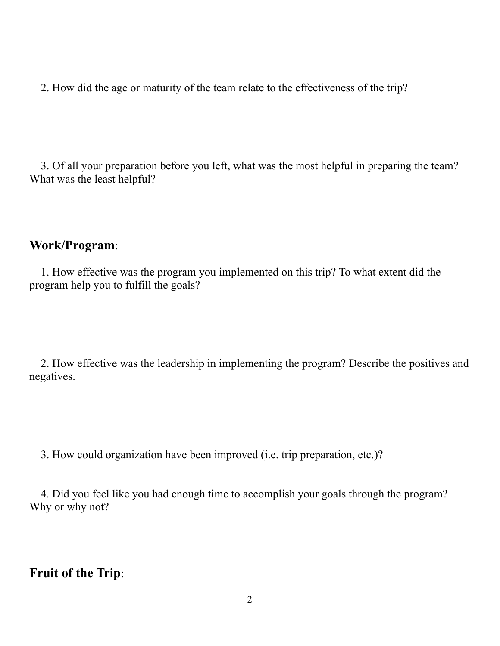2. How did the age or maturity of the team relate to the effectiveness of the trip?

 3. Of all your preparation before you left, what was the most helpful in preparing the team? What was the least helpful?

### **Work/Program**:

 1. How effective was the program you implemented on this trip? To what extent did the program help you to fulfill the goals?

 2. How effective was the leadership in implementing the program? Describe the positives and negatives.

3. How could organization have been improved (i.e. trip preparation, etc.)?

 4. Did you feel like you had enough time to accomplish your goals through the program? Why or why not?

## **Fruit of the Trip**: